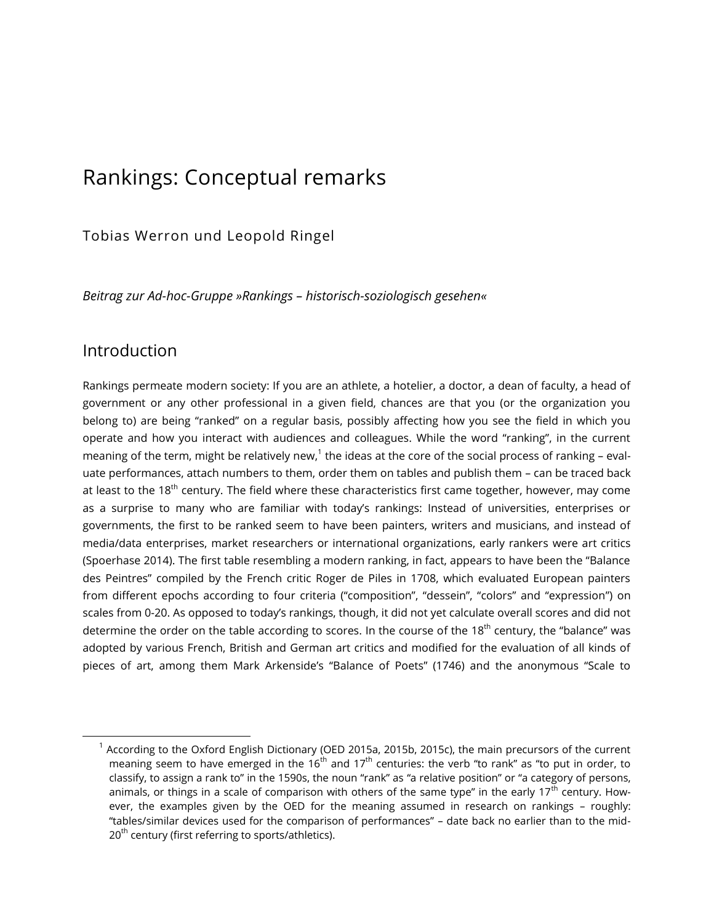# Rankings: Conceptual remarks

Tobias Werron und Leopold Ringel

*Beitrag zur Ad-hoc-Gruppe »Rankings – historisch-soziologisch gesehen«*

# Introduction

l

Rankings permeate modern society: If you are an athlete, a hotelier, a doctor, a dean of faculty, a head of government or any other professional in a given field, chances are that you (or the organization you belong to) are being "ranked" on a regular basis, possibly affecting how you see the field in which you operate and how you interact with audiences and colleagues. While the word "ranking", in the current meaning of the term, might be relatively new, $^1$  the ideas at the core of the social process of ranking – evaluate performances, attach numbers to them, order them on tables and publish them – can be traced back at least to the 18<sup>th</sup> century. The field where these characteristics first came together, however, may come as a surprise to many who are familiar with today's rankings: Instead of universities, enterprises or governments, the first to be ranked seem to have been painters, writers and musicians, and instead of media/data enterprises, market researchers or international organizations, early rankers were art critics (Spoerhase 2014). The first table resembling a modern ranking, in fact, appears to have been the "Balance des Peintres" compiled by the French critic Roger de Piles in 1708, which evaluated European painters from different epochs according to four criteria ("composition", "dessein", "colors" and "expression") on scales from 0-20. As opposed to today's rankings, though, it did not yet calculate overall scores and did not determine the order on the table according to scores. In the course of the  $18<sup>th</sup>$  century, the "balance" was adopted by various French, British and German art critics and modified for the evaluation of all kinds of pieces of art, among them Mark Arkenside's "Balance of Poets" (1746) and the anonymous "Scale to

<sup>&</sup>lt;sup>1</sup> According to the Oxford English Dictionary (OED 2015a, 2015b, 2015c), the main precursors of the current meaning seem to have emerged in the  $16<sup>th</sup>$  and  $17<sup>th</sup>$  centuries: the verb "to rank" as "to put in order, to classify, to assign a rank to" in the 1590s, the noun "rank" as "a relative position" or "a category of persons, animals, or things in a scale of comparison with others of the same type" in the early 17<sup>th</sup> century. However, the examples given by the OED for the meaning assumed in research on rankings – roughly: "tables/similar devices used for the comparison of performances" – date back no earlier than to the mid-20<sup>th</sup> century (first referring to sports/athletics).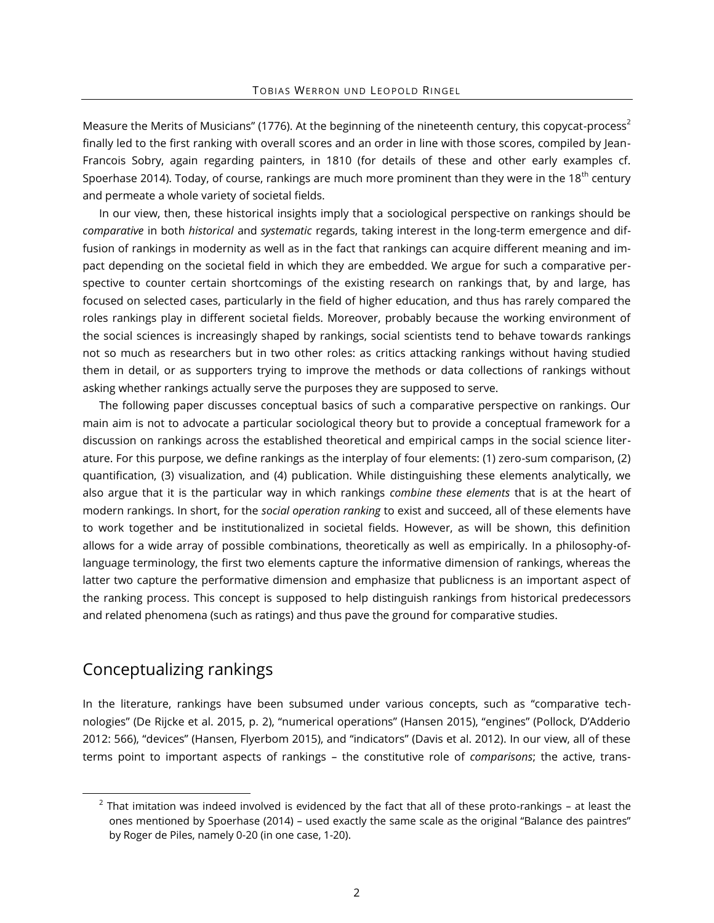Measure the Merits of Musicians" (1776). At the beginning of the nineteenth century, this copycat-process<sup>2</sup> finally led to the first ranking with overall scores and an order in line with those scores, compiled by Jean-Francois Sobry, again regarding painters, in 1810 (for details of these and other early examples cf. Spoerhase 2014). Today, of course, rankings are much more prominent than they were in the 18<sup>th</sup> century and permeate a whole variety of societal fields.

In our view, then, these historical insights imply that a sociological perspective on rankings should be *comparative* in both *historical* and *systematic* regards, taking interest in the long-term emergence and diffusion of rankings in modernity as well as in the fact that rankings can acquire different meaning and impact depending on the societal field in which they are embedded. We argue for such a comparative perspective to counter certain shortcomings of the existing research on rankings that, by and large, has focused on selected cases, particularly in the field of higher education, and thus has rarely compared the roles rankings play in different societal fields. Moreover, probably because the working environment of the social sciences is increasingly shaped by rankings, social scientists tend to behave towards rankings not so much as researchers but in two other roles: as critics attacking rankings without having studied them in detail, or as supporters trying to improve the methods or data collections of rankings without asking whether rankings actually serve the purposes they are supposed to serve.

The following paper discusses conceptual basics of such a comparative perspective on rankings. Our main aim is not to advocate a particular sociological theory but to provide a conceptual framework for a discussion on rankings across the established theoretical and empirical camps in the social science literature. For this purpose, we define rankings as the interplay of four elements: (1) zero-sum comparison, (2) quantification, (3) visualization, and (4) publication. While distinguishing these elements analytically, we also argue that it is the particular way in which rankings *combine these elements* that is at the heart of modern rankings. In short, for the *social operation ranking* to exist and succeed, all of these elements have to work together and be institutionalized in societal fields. However, as will be shown, this definition allows for a wide array of possible combinations, theoretically as well as empirically. In a philosophy-oflanguage terminology, the first two elements capture the informative dimension of rankings, whereas the latter two capture the performative dimension and emphasize that publicness is an important aspect of the ranking process. This concept is supposed to help distinguish rankings from historical predecessors and related phenomena (such as ratings) and thus pave the ground for comparative studies.

# Conceptualizing rankings

l

In the literature, rankings have been subsumed under various concepts, such as "comparative technologies" (De Rijcke et al. 2015, p. 2), "numerical operations" (Hansen 2015), "engines" (Pollock, D'Adderio 2012: 566), "devices" (Hansen, Flyerbom 2015), and "indicators" (Davis et al. 2012). In our view, all of these terms point to important aspects of rankings – the constitutive role of *comparisons*; the active, trans-

 $2$  That imitation was indeed involved is evidenced by the fact that all of these proto-rankings – at least the ones mentioned by Spoerhase (2014) – used exactly the same scale as the original "Balance des paintres" by Roger de Piles, namely 0-20 (in one case, 1-20).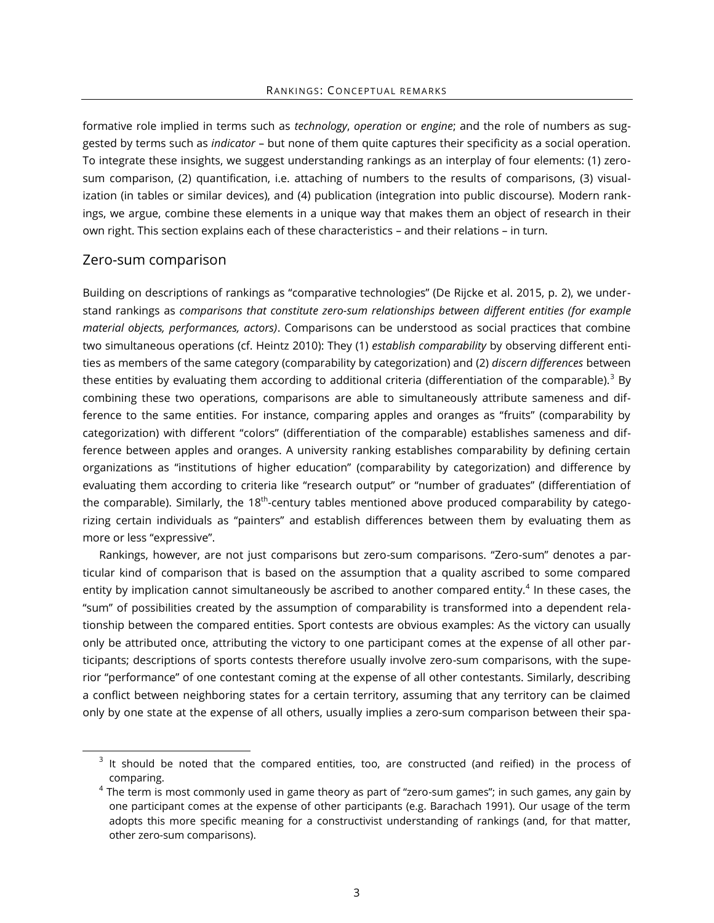formative role implied in terms such as *technology*, *operation* or *engine*; and the role of numbers as suggested by terms such as *indicator* – but none of them quite captures their specificity as a social operation. To integrate these insights, we suggest understanding rankings as an interplay of four elements: (1) zerosum comparison, (2) quantification, i.e. attaching of numbers to the results of comparisons, (3) visualization (in tables or similar devices), and (4) publication (integration into public discourse). Modern rankings, we argue, combine these elements in a unique way that makes them an object of research in their own right. This section explains each of these characteristics – and their relations – in turn.

## Zero-sum comparison

l

Building on descriptions of rankings as "comparative technologies" (De Rijcke et al. 2015, p. 2), we understand rankings as *comparisons that constitute zero-sum relationships between different entities (for example material objects, performances, actors)*. Comparisons can be understood as social practices that combine two simultaneous operations (cf. Heintz 2010): They (1) *establish comparability* by observing different entities as members of the same category (comparability by categorization) and (2) *discern differences* between these entities by evaluating them according to additional criteria (differentiation of the comparable).<sup>3</sup> By combining these two operations, comparisons are able to simultaneously attribute sameness and difference to the same entities. For instance, comparing apples and oranges as "fruits" (comparability by categorization) with different "colors" (differentiation of the comparable) establishes sameness and difference between apples and oranges. A university ranking establishes comparability by defining certain organizations as "institutions of higher education" (comparability by categorization) and difference by evaluating them according to criteria like "research output" or "number of graduates" (differentiation of the comparable). Similarly, the 18<sup>th</sup>-century tables mentioned above produced comparability by categorizing certain individuals as "painters" and establish differences between them by evaluating them as more or less "expressive".

Rankings, however, are not just comparisons but zero-sum comparisons. "Zero-sum" denotes a particular kind of comparison that is based on the assumption that a quality ascribed to some compared entity by implication cannot simultaneously be ascribed to another compared entity.<sup>4</sup> In these cases, the "sum" of possibilities created by the assumption of comparability is transformed into a dependent relationship between the compared entities. Sport contests are obvious examples: As the victory can usually only be attributed once, attributing the victory to one participant comes at the expense of all other participants; descriptions of sports contests therefore usually involve zero-sum comparisons, with the superior "performance" of one contestant coming at the expense of all other contestants. Similarly, describing a conflict between neighboring states for a certain territory, assuming that any territory can be claimed only by one state at the expense of all others, usually implies a zero-sum comparison between their spa-

 $3$  It should be noted that the compared entities, too, are constructed (and reified) in the process of comparing.

 $^4$  The term is most commonly used in game theory as part of "zero-sum games"; in such games, any gain by one participant comes at the expense of other participants (e.g. Barachach 1991). Our usage of the term adopts this more specific meaning for a constructivist understanding of rankings (and, for that matter, other zero-sum comparisons).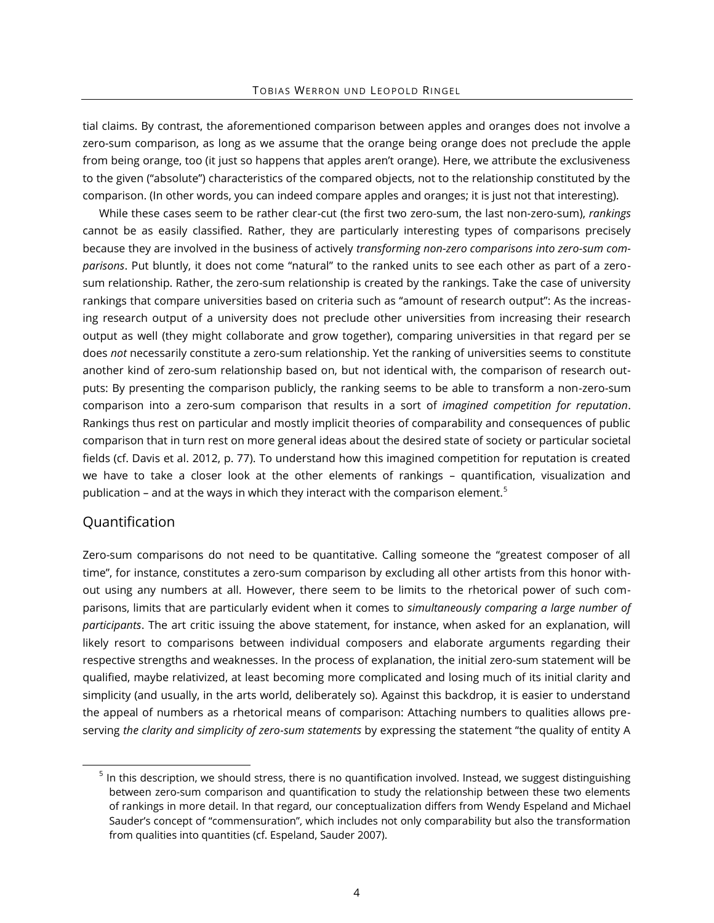#### TOBIAS WERRON UND LEOPOLD RINGEL

tial claims. By contrast, the aforementioned comparison between apples and oranges does not involve a zero-sum comparison, as long as we assume that the orange being orange does not preclude the apple from being orange, too (it just so happens that apples aren't orange). Here, we attribute the exclusiveness to the given ("absolute") characteristics of the compared objects, not to the relationship constituted by the comparison. (In other words, you can indeed compare apples and oranges; it is just not that interesting).

While these cases seem to be rather clear-cut (the first two zero-sum, the last non-zero-sum), *rankings* cannot be as easily classified. Rather, they are particularly interesting types of comparisons precisely because they are involved in the business of actively *transforming non-zero comparisons into zero-sum comparisons*. Put bluntly, it does not come "natural" to the ranked units to see each other as part of a zerosum relationship. Rather, the zero-sum relationship is created by the rankings. Take the case of university rankings that compare universities based on criteria such as "amount of research output": As the increasing research output of a university does not preclude other universities from increasing their research output as well (they might collaborate and grow together), comparing universities in that regard per se does *not* necessarily constitute a zero-sum relationship. Yet the ranking of universities seems to constitute another kind of zero-sum relationship based on, but not identical with, the comparison of research outputs: By presenting the comparison publicly, the ranking seems to be able to transform a non-zero-sum comparison into a zero-sum comparison that results in a sort of *imagined competition for reputation*. Rankings thus rest on particular and mostly implicit theories of comparability and consequences of public comparison that in turn rest on more general ideas about the desired state of society or particular societal fields (cf. Davis et al. 2012, p. 77). To understand how this imagined competition for reputation is created we have to take a closer look at the other elements of rankings – quantification, visualization and publication – and at the ways in which they interact with the comparison element.<sup>5</sup>

## Quantification

l

Zero-sum comparisons do not need to be quantitative. Calling someone the "greatest composer of all time", for instance, constitutes a zero-sum comparison by excluding all other artists from this honor without using any numbers at all. However, there seem to be limits to the rhetorical power of such comparisons, limits that are particularly evident when it comes to *simultaneously comparing a large number of participants*. The art critic issuing the above statement, for instance, when asked for an explanation, will likely resort to comparisons between individual composers and elaborate arguments regarding their respective strengths and weaknesses. In the process of explanation, the initial zero-sum statement will be qualified, maybe relativized, at least becoming more complicated and losing much of its initial clarity and simplicity (and usually, in the arts world, deliberately so). Against this backdrop, it is easier to understand the appeal of numbers as a rhetorical means of comparison: Attaching numbers to qualities allows preserving *the clarity and simplicity of zero-sum statements* by expressing the statement "the quality of entity A

<sup>&</sup>lt;sup>5</sup> In this description, we should stress, there is no quantification involved. Instead, we suggest distinguishing between zero-sum comparison and quantification to study the relationship between these two elements of rankings in more detail. In that regard, our conceptualization differs from Wendy Espeland and Michael Sauder's concept of "commensuration", which includes not only comparability but also the transformation from qualities into quantities (cf. Espeland, Sauder 2007).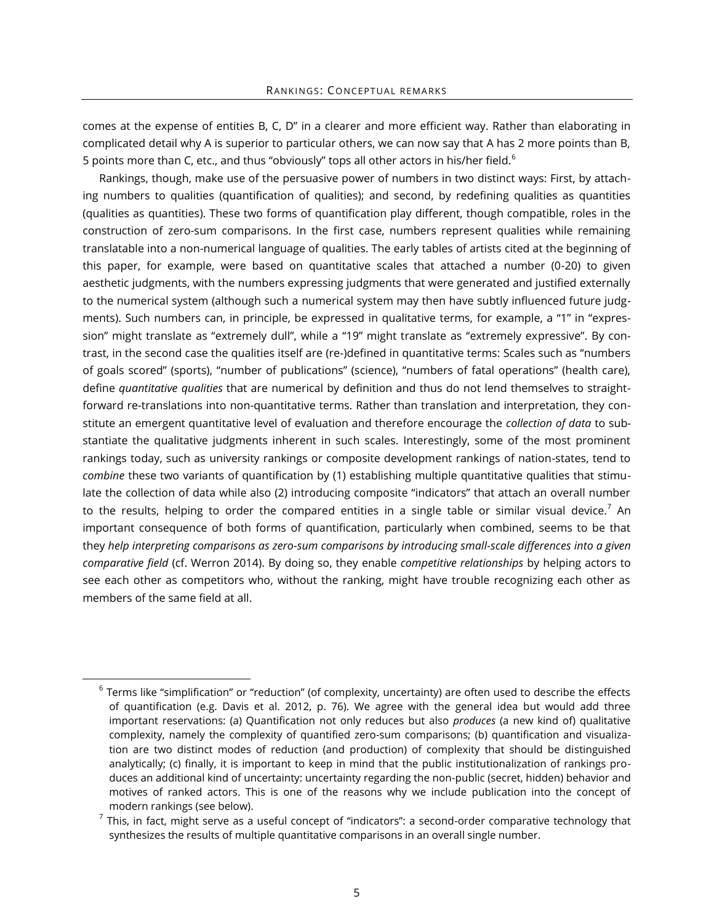comes at the expense of entities B, C, D" in a clearer and more efficient way. Rather than elaborating in complicated detail why A is superior to particular others, we can now say that A has 2 more points than B, 5 points more than C, etc., and thus "obviously" tops all other actors in his/her field.<sup>6</sup>

Rankings, though, make use of the persuasive power of numbers in two distinct ways: First, by attaching numbers to qualities (quantification of qualities); and second, by redefining qualities as quantities (qualities as quantities). These two forms of quantification play different, though compatible, roles in the construction of zero-sum comparisons. In the first case, numbers represent qualities while remaining translatable into a non-numerical language of qualities. The early tables of artists cited at the beginning of this paper, for example, were based on quantitative scales that attached a number (0-20) to given aesthetic judgments, with the numbers expressing judgments that were generated and justified externally to the numerical system (although such a numerical system may then have subtly influenced future judgments). Such numbers can, in principle, be expressed in qualitative terms, for example, a "1" in "expression" might translate as "extremely dull", while a "19" might translate as "extremely expressive". By contrast, in the second case the qualities itself are (re-)defined in quantitative terms: Scales such as "numbers of goals scored" (sports), "number of publications" (science), "numbers of fatal operations" (health care), define *quantitative qualities* that are numerical by definition and thus do not lend themselves to straightforward re-translations into non-quantitative terms. Rather than translation and interpretation, they constitute an emergent quantitative level of evaluation and therefore encourage the *collection of data* to substantiate the qualitative judgments inherent in such scales. Interestingly, some of the most prominent rankings today, such as university rankings or composite development rankings of nation-states, tend to *combine* these two variants of quantification by (1) establishing multiple quantitative qualities that stimulate the collection of data while also (2) introducing composite "indicators" that attach an overall number to the results, helping to order the compared entities in a single table or similar visual device. $^7$  An important consequence of both forms of quantification, particularly when combined, seems to be that they *help interpreting comparisons as zero-sum comparisons by introducing small-scale differences into a given comparative field* (cf. Werron 2014). By doing so, they enable *competitive relationships* by helping actors to see each other as competitors who, without the ranking, might have trouble recognizing each other as members of the same field at all.

l

 $^6$  Terms like "simplification" or "reduction" (of complexity, uncertainty) are often used to describe the effects of quantification (e.g. Davis et al. 2012, p. 76). We agree with the general idea but would add three important reservations: (a) Quantification not only reduces but also *produces* (a new kind of) qualitative complexity, namely the complexity of quantified zero-sum comparisons; (b) quantification and visualization are two distinct modes of reduction (and production) of complexity that should be distinguished analytically; (c) finally, it is important to keep in mind that the public institutionalization of rankings produces an additional kind of uncertainty: uncertainty regarding the non-public (secret, hidden) behavior and motives of ranked actors. This is one of the reasons why we include publication into the concept of modern rankings (see below).

 $^7$  This, in fact, might serve as a useful concept of "indicators": a second-order comparative technology that synthesizes the results of multiple quantitative comparisons in an overall single number.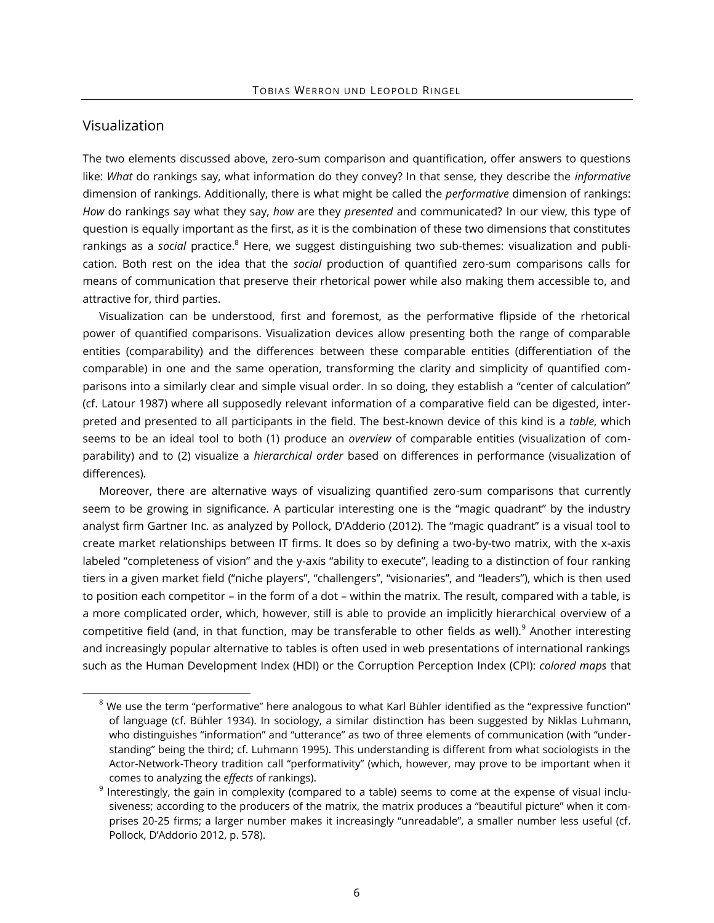## Visualization

l

The two elements discussed above, zero-sum comparison and quantification, offer answers to questions like: *What* do rankings say, what information do they convey? In that sense, they describe the *informative* dimension of rankings. Additionally, there is what might be called the *performative* dimension of rankings: *How* do rankings say what they say, *how* are they *presented* and communicated? In our view, this type of question is equally important as the first, as it is the combination of these two dimensions that constitutes rankings as a *social* practice.<sup>8</sup> Here, we suggest distinguishing two sub-themes: visualization and publication. Both rest on the idea that the *social* production of quantified zero-sum comparisons calls for means of communication that preserve their rhetorical power while also making them accessible to, and attractive for, third parties.

Visualization can be understood, first and foremost, as the performative flipside of the rhetorical power of quantified comparisons. Visualization devices allow presenting both the range of comparable entities (comparability) and the differences between these comparable entities (differentiation of the comparable) in one and the same operation, transforming the clarity and simplicity of quantified comparisons into a similarly clear and simple visual order. In so doing, they establish a "center of calculation" (cf. Latour 1987) where all supposedly relevant information of a comparative field can be digested, interpreted and presented to all participants in the field. The best-known device of this kind is a *table*, which seems to be an ideal tool to both (1) produce an *overview* of comparable entities (visualization of comparability) and to (2) visualize a *hierarchical order* based on differences in performance (visualization of differences).

Moreover, there are alternative ways of visualizing quantified zero-sum comparisons that currently seem to be growing in significance. A particular interesting one is the "magic quadrant" by the industry analyst firm Gartner Inc. as analyzed by Pollock, D'Adderio (2012). The "magic quadrant" is a visual tool to create market relationships between IT firms. It does so by defining a two-by-two matrix, with the x-axis labeled "completeness of vision" and the y-axis "ability to execute", leading to a distinction of four ranking tiers in a given market field ("niche players", "challengers", "visionaries", and "leaders"), which is then used to position each competitor – in the form of a dot – within the matrix. The result, compared with a table, is a more complicated order, which, however, still is able to provide an implicitly hierarchical overview of a competitive field (and, in that function, may be transferable to other fields as well). $^9$  Another interesting and increasingly popular alternative to tables is often used in web presentations of international rankings such as the Human Development Index (HDI) or the Corruption Perception Index (CPI): *colored maps* that

<sup>&</sup>lt;sup>8</sup> We use the term "performative" here analogous to what Karl Bühler identified as the "expressive function" of language (cf. Bühler 1934). In sociology, a similar distinction has been suggested by Niklas Luhmann, who distinguishes "information" and "utterance" as two of three elements of communication (with "understanding" being the third; cf. Luhmann 1995). This understanding is different from what sociologists in the Actor-Network-Theory tradition call "performativity" (which, however, may prove to be important when it comes to analyzing the *effects* of rankings).

<sup>9</sup> Interestingly, the gain in complexity (compared to a table) seems to come at the expense of visual inclusiveness; according to the producers of the matrix, the matrix produces a "beautiful picture" when it comprises 20-25 firms; a larger number makes it increasingly "unreadable", a smaller number less useful (cf. Pollock, D'Addorio 2012, p. 578).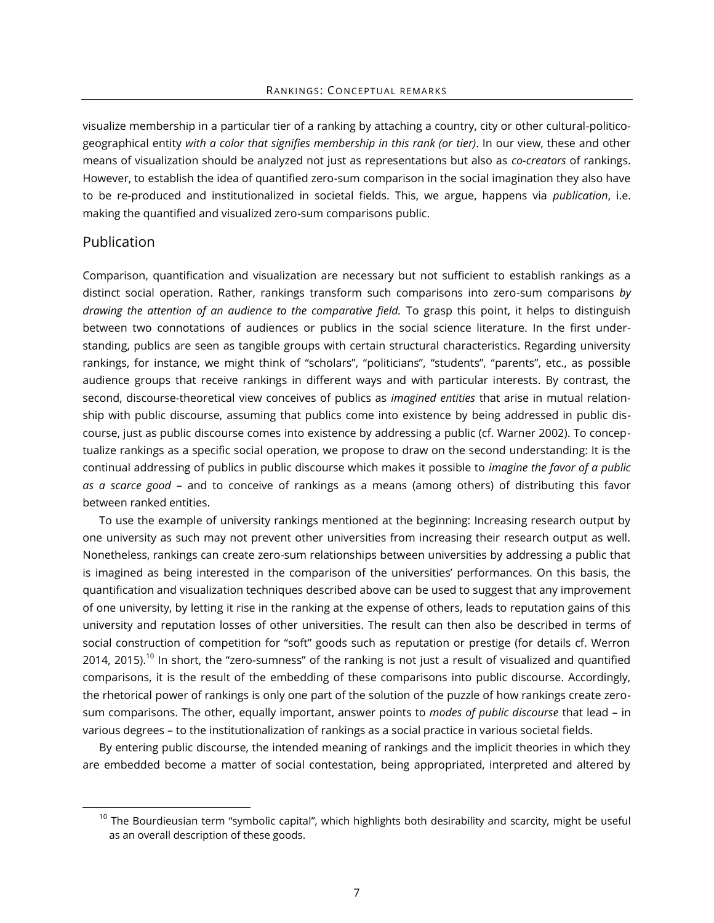visualize membership in a particular tier of a ranking by attaching a country, city or other cultural-politicogeographical entity *with a color that signifies membership in this rank (or tier)*. In our view, these and other means of visualization should be analyzed not just as representations but also as *co-creators* of rankings. However, to establish the idea of quantified zero-sum comparison in the social imagination they also have to be re-produced and institutionalized in societal fields. This, we argue, happens via *publication*, i.e. making the quantified and visualized zero-sum comparisons public.

#### Publication

l

Comparison, quantification and visualization are necessary but not sufficient to establish rankings as a distinct social operation. Rather, rankings transform such comparisons into zero-sum comparisons *by drawing the attention of an audience to the comparative field.* To grasp this point, it helps to distinguish between two connotations of audiences or publics in the social science literature. In the first understanding, publics are seen as tangible groups with certain structural characteristics. Regarding university rankings, for instance, we might think of "scholars", "politicians", "students", "parents", etc., as possible audience groups that receive rankings in different ways and with particular interests. By contrast, the second, discourse-theoretical view conceives of publics as *imagined entities* that arise in mutual relationship with public discourse, assuming that publics come into existence by being addressed in public discourse, just as public discourse comes into existence by addressing a public (cf. Warner 2002). To conceptualize rankings as a specific social operation, we propose to draw on the second understanding: It is the continual addressing of publics in public discourse which makes it possible to *imagine the favor of a public as a scarce good* – and to conceive of rankings as a means (among others) of distributing this favor between ranked entities.

To use the example of university rankings mentioned at the beginning: Increasing research output by one university as such may not prevent other universities from increasing their research output as well. Nonetheless, rankings can create zero-sum relationships between universities by addressing a public that is imagined as being interested in the comparison of the universities' performances. On this basis, the quantification and visualization techniques described above can be used to suggest that any improvement of one university, by letting it rise in the ranking at the expense of others, leads to reputation gains of this university and reputation losses of other universities. The result can then also be described in terms of social construction of competition for "soft" goods such as reputation or prestige (for details cf. Werron 2014, 2015).<sup>10</sup> In short, the "zero-sumness" of the ranking is not just a result of visualized and quantified comparisons, it is the result of the embedding of these comparisons into public discourse. Accordingly, the rhetorical power of rankings is only one part of the solution of the puzzle of how rankings create zerosum comparisons. The other, equally important, answer points to *modes of public discourse* that lead – in various degrees – to the institutionalization of rankings as a social practice in various societal fields.

By entering public discourse, the intended meaning of rankings and the implicit theories in which they are embedded become a matter of social contestation, being appropriated, interpreted and altered by

 $10$  The Bourdieusian term "symbolic capital", which highlights both desirability and scarcity, might be useful as an overall description of these goods.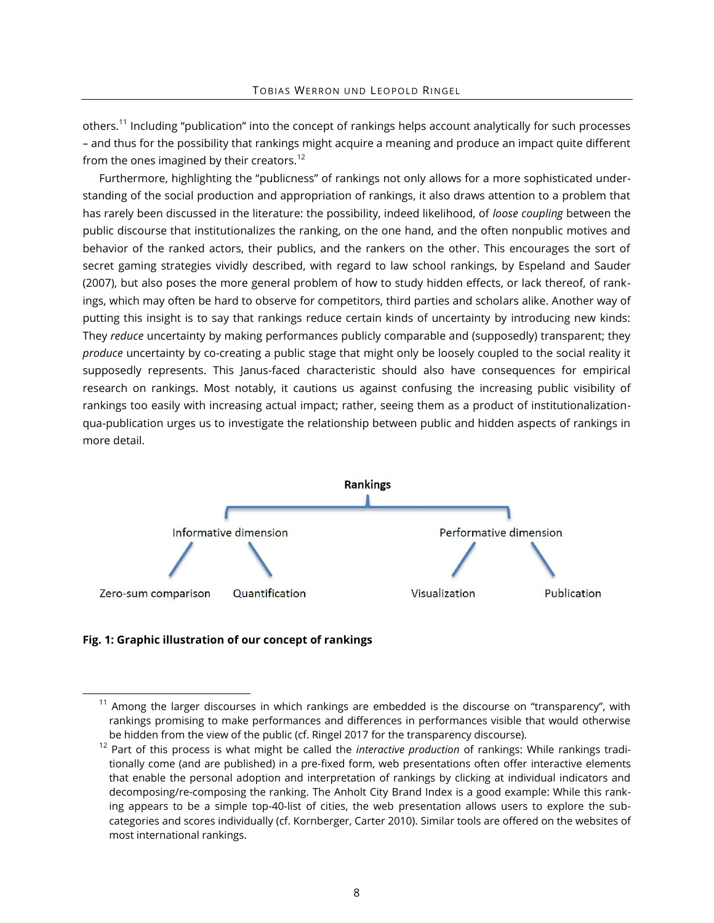others.<sup>11</sup> Including "publication" into the concept of rankings helps account analytically for such processes – and thus for the possibility that rankings might acquire a meaning and produce an impact quite different from the ones imagined by their creators.<sup>12</sup>

Furthermore, highlighting the "publicness" of rankings not only allows for a more sophisticated understanding of the social production and appropriation of rankings, it also draws attention to a problem that has rarely been discussed in the literature: the possibility, indeed likelihood, of *loose coupling* between the public discourse that institutionalizes the ranking, on the one hand, and the often nonpublic motives and behavior of the ranked actors, their publics, and the rankers on the other. This encourages the sort of secret gaming strategies vividly described, with regard to law school rankings, by Espeland and Sauder (2007), but also poses the more general problem of how to study hidden effects, or lack thereof, of rankings, which may often be hard to observe for competitors, third parties and scholars alike. Another way of putting this insight is to say that rankings reduce certain kinds of uncertainty by introducing new kinds: They *reduce* uncertainty by making performances publicly comparable and (supposedly) transparent; they *produce* uncertainty by co-creating a public stage that might only be loosely coupled to the social reality it supposedly represents. This Janus-faced characteristic should also have consequences for empirical research on rankings. Most notably, it cautions us against confusing the increasing public visibility of rankings too easily with increasing actual impact; rather, seeing them as a product of institutionalizationqua-publication urges us to investigate the relationship between public and hidden aspects of rankings in more detail.



#### **Fig. 1: Graphic illustration of our concept of rankings**

l

 $11$  Among the larger discourses in which rankings are embedded is the discourse on "transparency", with rankings promising to make performances and differences in performances visible that would otherwise be hidden from the view of the public (cf. Ringel 2017 for the transparency discourse).

<sup>&</sup>lt;sup>12</sup> Part of this process is what might be called the *interactive production* of rankings: While rankings traditionally come (and are published) in a pre-fixed form, web presentations often offer interactive elements that enable the personal adoption and interpretation of rankings by clicking at individual indicators and decomposing/re-composing the ranking. The Anholt City Brand Index is a good example: While this ranking appears to be a simple top-40-list of cities, the web presentation allows users to explore the subcategories and scores individually (cf. Kornberger, Carter 2010). Similar tools are offered on the websites of most international rankings.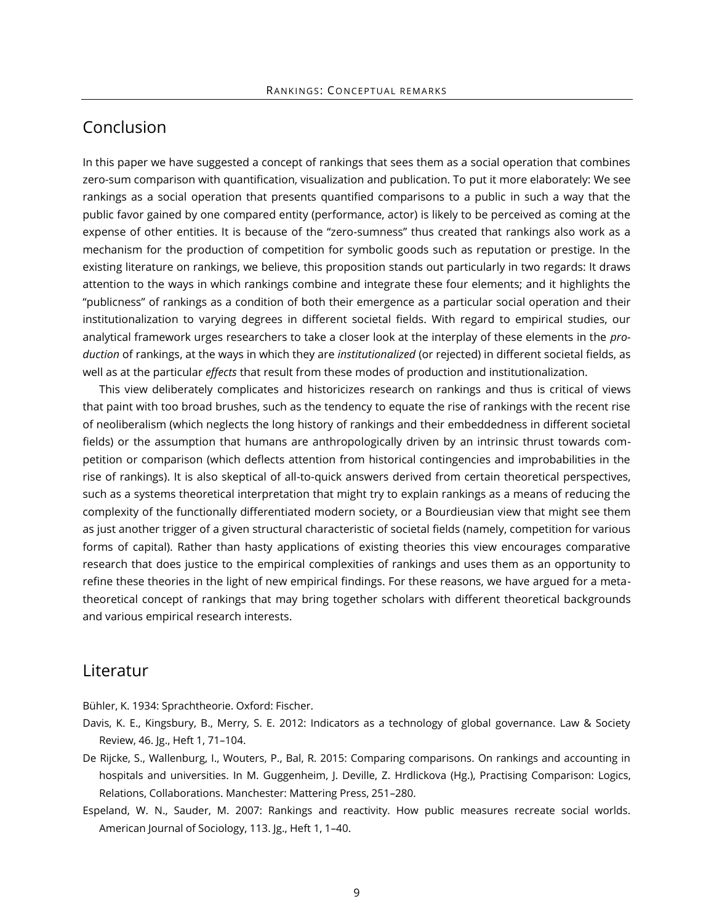## Conclusion

In this paper we have suggested a concept of rankings that sees them as a social operation that combines zero-sum comparison with quantification, visualization and publication. To put it more elaborately: We see rankings as a social operation that presents quantified comparisons to a public in such a way that the public favor gained by one compared entity (performance, actor) is likely to be perceived as coming at the expense of other entities. It is because of the "zero-sumness" thus created that rankings also work as a mechanism for the production of competition for symbolic goods such as reputation or prestige. In the existing literature on rankings, we believe, this proposition stands out particularly in two regards: It draws attention to the ways in which rankings combine and integrate these four elements; and it highlights the "publicness" of rankings as a condition of both their emergence as a particular social operation and their institutionalization to varying degrees in different societal fields. With regard to empirical studies, our analytical framework urges researchers to take a closer look at the interplay of these elements in the *production* of rankings, at the ways in which they are *institutionalized* (or rejected) in different societal fields, as well as at the particular *effects* that result from these modes of production and institutionalization.

This view deliberately complicates and historicizes research on rankings and thus is critical of views that paint with too broad brushes, such as the tendency to equate the rise of rankings with the recent rise of neoliberalism (which neglects the long history of rankings and their embeddedness in different societal fields) or the assumption that humans are anthropologically driven by an intrinsic thrust towards competition or comparison (which deflects attention from historical contingencies and improbabilities in the rise of rankings). It is also skeptical of all-to-quick answers derived from certain theoretical perspectives, such as a systems theoretical interpretation that might try to explain rankings as a means of reducing the complexity of the functionally differentiated modern society, or a Bourdieusian view that might see them as just another trigger of a given structural characteristic of societal fields (namely, competition for various forms of capital). Rather than hasty applications of existing theories this view encourages comparative research that does justice to the empirical complexities of rankings and uses them as an opportunity to refine these theories in the light of new empirical findings. For these reasons, we have argued for a metatheoretical concept of rankings that may bring together scholars with different theoretical backgrounds and various empirical research interests.

## Literatur

Bühler, K. 1934: Sprachtheorie. Oxford: Fischer.

- Davis, K. E., Kingsbury, B., Merry, S. E. 2012: Indicators as a technology of global governance. Law & Society Review, 46. Jg., Heft 1, 71–104.
- De Rijcke, S., Wallenburg, I., Wouters, P., Bal, R. 2015: Comparing comparisons. On rankings and accounting in hospitals and universities. In M. Guggenheim, J. Deville, Z. Hrdlickova (Hg.), Practising Comparison: Logics, Relations, Collaborations. Manchester: Mattering Press, 251–280.
- Espeland, W. N., Sauder, M. 2007: Rankings and reactivity. How public measures recreate social worlds. American Journal of Sociology, 113. Jg., Heft 1, 1–40.